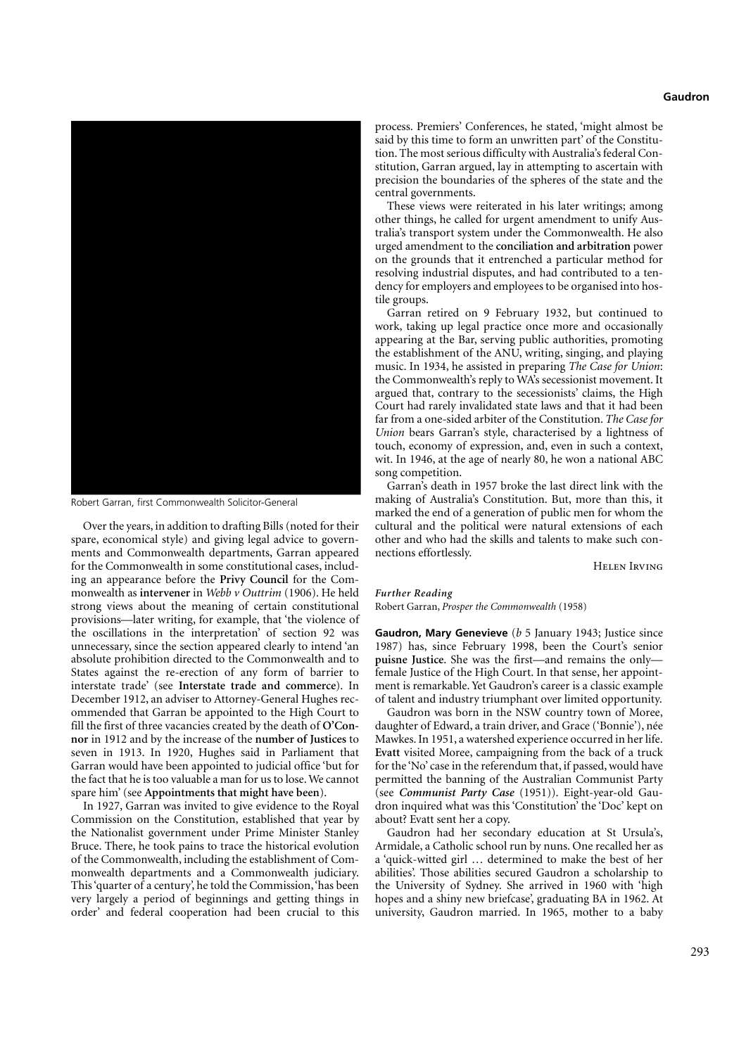## **Gaudron**



Robert Garran, first Commonwealth Solicitor-General

Over the years, in addition to drafting Bills (noted for their spare, economical style) and giving legal advice to governments and Commonwealth departments, Garran appeared for the Commonwealth in some constitutional cases, including an appearance before the **Privy Council** for the Commonwealth as **intervener** in *Webb v Outtrim* (1906). He held strong views about the meaning of certain constitutional provisions—later writing, for example, that 'the violence of the oscillations in the interpretation' of section 92 was unnecessary, since the section appeared clearly to intend 'an absolute prohibition directed to the Commonwealth and to States against the re-erection of any form of barrier to interstate trade' (see **Interstate trade and commerce**). In December 1912, an adviser to Attorney-General Hughes recommended that Garran be appointed to the High Court to fill the first of three vacancies created by the death of **O'Connor** in 1912 and by the increase of the **number of Justices** to seven in 1913. In 1920, Hughes said in Parliament that Garran would have been appointed to judicial office 'but for the fact that he is too valuable a man for us to lose. We cannot spare him' (see **Appointments that might have been**).

In 1927, Garran was invited to give evidence to the Royal Commission on the Constitution, established that year by the Nationalist government under Prime Minister Stanley Bruce. There, he took pains to trace the historical evolution of the Commonwealth, including the establishment of Commonwealth departments and a Commonwealth judiciary. This 'quarter of a century', he told the Commission,'has been very largely a period of beginnings and getting things in order' and federal cooperation had been crucial to this process. Premiers' Conferences, he stated, 'might almost be said by this time to form an unwritten part' of the Constitution. The most serious difficulty with Australia's federal Constitution, Garran argued, lay in attempting to ascertain with precision the boundaries of the spheres of the state and the central governments.

These views were reiterated in his later writings; among other things, he called for urgent amendment to unify Australia's transport system under the Commonwealth. He also urged amendment to the **conciliation and arbitration** power on the grounds that it entrenched a particular method for resolving industrial disputes, and had contributed to a tendency for employers and employees to be organised into hostile groups.

Garran retired on 9 February 1932, but continued to work, taking up legal practice once more and occasionally appearing at the Bar, serving public authorities, promoting the establishment of the ANU, writing, singing, and playing music. In 1934, he assisted in preparing *The Case for Union*: the Commonwealth's reply to WA's secessionist movement. It argued that, contrary to the secessionists' claims, the High Court had rarely invalidated state laws and that it had been far from a one-sided arbiter of the Constitution. *The Case for Union* bears Garran's style, characterised by a lightness of touch, economy of expression, and, even in such a context, wit. In 1946, at the age of nearly 80, he won a national ABC song competition.

Garran's death in 1957 broke the last direct link with the making of Australia's Constitution. But, more than this, it marked the end of a generation of public men for whom the cultural and the political were natural extensions of each other and who had the skills and talents to make such connections effortlessly.

Helen Irving

## *Further Reading* Robert Garran, *Prosper the Commonwealth* (1958)

**Gaudron, Mary Genevieve** (*b* 5 January 1943; Justice since 1987) has, since February 1998, been the Court's senior **puisne Justice**. She was the first—and remains the only female Justice of the High Court. In that sense, her appointment is remarkable. Yet Gaudron's career is a classic example of talent and industry triumphant over limited opportunity.

Gaudron was born in the NSW country town of Moree, daughter of Edward, a train driver, and Grace ('Bonnie'), née Mawkes. In 1951, a watershed experience occurred in her life. **Evatt** visited Moree, campaigning from the back of a truck for the 'No' case in the referendum that, if passed, would have permitted the banning of the Australian Communist Party (see *Communist Party Case* (1951)). Eight-year-old Gaudron inquired what was this 'Constitution' the 'Doc' kept on about? Evatt sent her a copy.

Gaudron had her secondary education at St Ursula's, Armidale, a Catholic school run by nuns. One recalled her as a 'quick-witted girl … determined to make the best of her abilities'. Those abilities secured Gaudron a scholarship to the University of Sydney. She arrived in 1960 with 'high hopes and a shiny new briefcase', graduating BA in 1962. At university, Gaudron married. In 1965, mother to a baby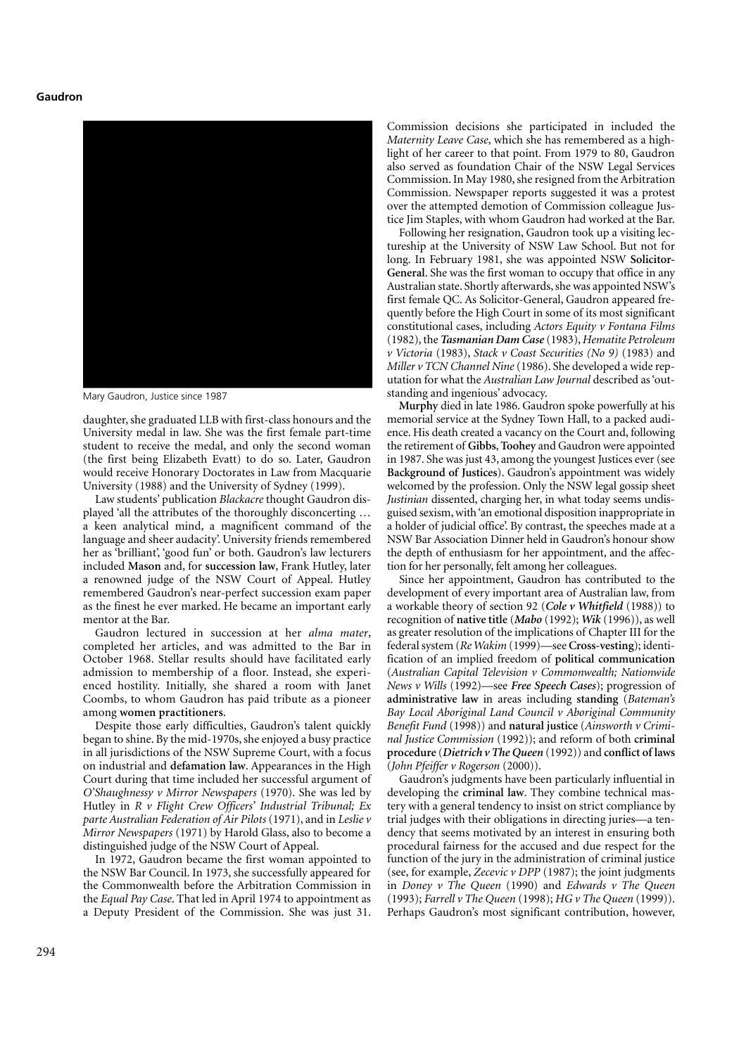## **Gaudron**



Mary Gaudron, Justice since 1987

daughter, she graduated LLB with first-class honours and the University medal in law. She was the first female part-time student to receive the medal, and only the second woman (the first being Elizabeth Evatt) to do so. Later, Gaudron would receive Honorary Doctorates in Law from Macquarie University (1988) and the University of Sydney (1999).

Law students' publication *Blackacre* thought Gaudron displayed 'all the attributes of the thoroughly disconcerting … a keen analytical mind, a magnificent command of the language and sheer audacity'. University friends remembered her as 'brilliant', 'good fun' or both. Gaudron's law lecturers included **Mason** and, for **succession law**, Frank Hutley, later a renowned judge of the NSW Court of Appeal. Hutley remembered Gaudron's near-perfect succession exam paper as the finest he ever marked. He became an important early mentor at the Bar.

Gaudron lectured in succession at her *alma mater*, completed her articles, and was admitted to the Bar in October 1968. Stellar results should have facilitated early admission to membership of a floor. Instead, she experienced hostility. Initially, she shared a room with Janet Coombs, to whom Gaudron has paid tribute as a pioneer among **women practitioners**.

Despite those early difficulties, Gaudron's talent quickly began to shine. By the mid-1970s, she enjoyed a busy practice in all jurisdictions of the NSW Supreme Court, with a focus on industrial and **defamation law**. Appearances in the High Court during that time included her successful argument of *O'Shaughnessy v Mirror Newspapers* (1970). She was led by Hutley in *R v Flight Crew Officers' Industrial Tribunal; Ex parte Australian Federation of Air Pilots* (1971), and in *Leslie v Mirror Newspapers* (1971) by Harold Glass, also to become a distinguished judge of the NSW Court of Appeal.

In 1972, Gaudron became the first woman appointed to the NSW Bar Council. In 1973, she successfully appeared for the Commonwealth before the Arbitration Commission in the *Equal Pay Case*. That led in April 1974 to appointment as a Deputy President of the Commission. She was just 31.

Commission decisions she participated in included the *Maternity Leave Case*, which she has remembered as a highlight of her career to that point. From 1979 to 80, Gaudron also served as foundation Chair of the NSW Legal Services Commission. In May 1980, she resigned from the Arbitration Commission. Newspaper reports suggested it was a protest over the attempted demotion of Commission colleague Justice Jim Staples, with whom Gaudron had worked at the Bar.

Following her resignation, Gaudron took up a visiting lectureship at the University of NSW Law School. But not for long. In February 1981, she was appointed NSW **Solicitor-General**. She was the first woman to occupy that office in any Australian state. Shortly afterwards, she was appointed NSW's first female QC. As Solicitor-General, Gaudron appeared frequently before the High Court in some of its most significant constitutional cases, including *Actors Equity v Fontana Films* (1982), the *Tasmanian Dam Case* (1983), *Hematite Petroleum v Victoria* (1983), *Stack v Coast Securities (No 9)* (1983) and *Miller v TCN Channel Nine* (1986). She developed a wide reputation for what the *Australian Law Journal* described as 'outstanding and ingenious' advocacy.

**Murphy** died in late 1986. Gaudron spoke powerfully at his memorial service at the Sydney Town Hall, to a packed audience. His death created a vacancy on the Court and, following the retirement of **Gibbs**,**Toohey** and Gaudron were appointed in 1987. She was just 43, among the youngest Justices ever (see **Background of Justices**). Gaudron's appointment was widely welcomed by the profession. Only the NSW legal gossip sheet *Justinian* dissented, charging her, in what today seems undisguised sexism, with 'an emotional disposition inappropriate in a holder of judicial office'. By contrast, the speeches made at a NSW Bar Association Dinner held in Gaudron's honour show the depth of enthusiasm for her appointment, and the affection for her personally, felt among her colleagues.

Since her appointment, Gaudron has contributed to the development of every important area of Australian law, from a workable theory of section 92 (*Cole v Whitfield* (1988)) to recognition of **native title** (*Mabo* (1992); *Wik* (1996)), as well as greater resolution of the implications of Chapter III for the federal system (*Re Wakim* (1999)—see **Cross-vesting**); identification of an implied freedom of **political communication** (*Australian Capital Television v Commonwealth; Nationwide News v Wills* (1992)—see *Free Speech Cases*); progression of **administrative law** in areas including **standing** (*Bateman's Bay Local Aboriginal Land Council v Aboriginal Community Benefit Fund* (1998)) and **natural justice** (*Ainsworth v Criminal Justice Commission* (1992)); and reform of both **criminal procedure** (*Dietrich v The Queen* (1992)) and **conflict of laws** (*John Pfeiffer v Rogerson* (2000)).

Gaudron's judgments have been particularly influential in developing the **criminal law**. They combine technical mastery with a general tendency to insist on strict compliance by trial judges with their obligations in directing juries—a tendency that seems motivated by an interest in ensuring both procedural fairness for the accused and due respect for the function of the jury in the administration of criminal justice (see, for example, *Zecevic v DPP* (1987); the joint judgments in *Doney v The Queen* (1990) and *Edwards v The Queen* (1993); *Farrell v The Queen* (1998); *HG v The Queen* (1999)). Perhaps Gaudron's most significant contribution, however,